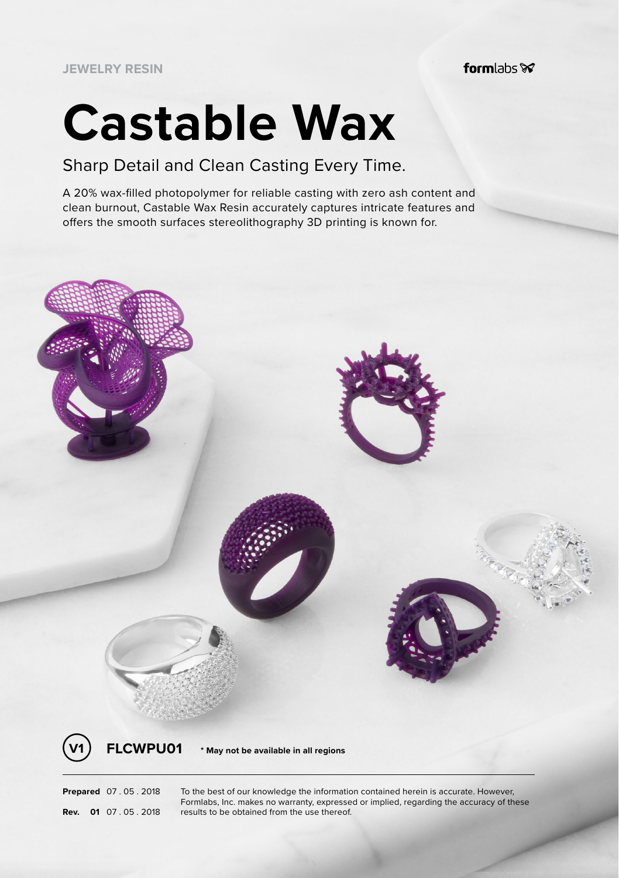**JEWELRY RESIN**

formlabs $\otimes$ 

# **Castable Wax**

## Sharp Detail and Clean Casting Every Time.

A 20% wax-filled photopolymer for reliable casting with zero ash content and clean burnout, Castable Wax Resin accurately captures intricate features and offers the smooth surfaces stereolithography 3D printing is known for.



**Prepared** 07 . 05 . 2018 To the best of our knowledge the information contained herein is accurate. However, Formlabs, Inc. makes no warranty, expressed or implied, regarding the accuracy of these **Rev. 01** 07 . 05 . 2018 results to be obtained from the use thereof.